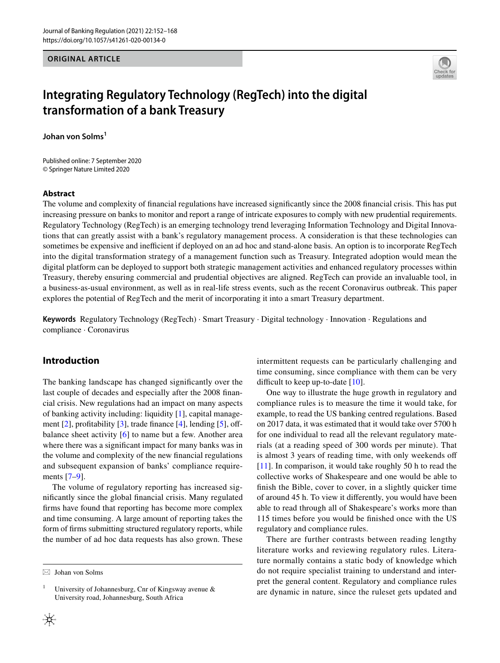**ORIGINAL ARTICLE**



# **Integrating Regulatory Technology (RegTech) into the digital transformation of a bank Treasury**

Johan von Solms<sup>1</sup>

Published online: 7 September 2020 © Springer Nature Limited 2020

#### **Abstract**

The volume and complexity of fnancial regulations have increased signifcantly since the 2008 fnancial crisis. This has put increasing pressure on banks to monitor and report a range of intricate exposures to comply with new prudential requirements. Regulatory Technology (RegTech) is an emerging technology trend leveraging Information Technology and Digital Innovations that can greatly assist with a bank's regulatory management process. A consideration is that these technologies can sometimes be expensive and inefficient if deployed on an ad hoc and stand-alone basis. An option is to incorporate RegTech into the digital transformation strategy of a management function such as Treasury. Integrated adoption would mean the digital platform can be deployed to support both strategic management activities and enhanced regulatory processes within Treasury, thereby ensuring commercial and prudential objectives are aligned. RegTech can provide an invaluable tool, in a business-as-usual environment, as well as in real-life stress events, such as the recent Coronavirus outbreak. This paper explores the potential of RegTech and the merit of incorporating it into a smart Treasury department.

**Keywords** Regulatory Technology (RegTech) · Smart Treasury · Digital technology · Innovation · Regulations and compliance · Coronavirus

# **Introduction**

The banking landscape has changed signifcantly over the last couple of decades and especially after the 2008 fnancial crisis. New regulations had an impact on many aspects of banking activity including: liquidity [\[1](#page-14-0)], capital manage-ment [[2\]](#page-14-1), profitability [[3\]](#page-14-2), trade finance [[4\]](#page-14-3), lending [[5\]](#page-14-4), offbalance sheet activity [[6](#page-14-5)] to name but a few. Another area where there was a significant impact for many banks was in the volume and complexity of the new fnancial regulations and subsequent expansion of banks' compliance requirements [[7](#page-15-0)[–9](#page-15-1)].

The volume of regulatory reporting has increased signifcantly since the global fnancial crisis. Many regulated frms have found that reporting has become more complex and time consuming. A large amount of reporting takes the form of frms submitting structured regulatory reports, while the number of ad hoc data requests has also grown. These intermittent requests can be particularly challenging and time consuming, since compliance with them can be very difficult to keep up-to-date  $[10]$  $[10]$ .

One way to illustrate the huge growth in regulatory and compliance rules is to measure the time it would take, for example, to read the US banking centred regulations. Based on 2017 data, it was estimated that it would take over 5700 h for one individual to read all the relevant regulatory materials (at a reading speed of 300 words per minute). That is almost 3 years of reading time, with only weekends of [[11\]](#page-15-3). In comparison, it would take roughly 50 h to read the collective works of Shakespeare and one would be able to fnish the Bible, cover to cover, in a slightly quicker time of around 45 h. To view it diferently, you would have been able to read through all of Shakespeare's works more than 115 times before you would be fnished once with the US regulatory and compliance rules.

There are further contrasts between reading lengthy literature works and reviewing regulatory rules. Literature normally contains a static body of knowledge which do not require specialist training to understand and interpret the general content. Regulatory and compliance rules are dynamic in nature, since the ruleset gets updated and

 $\boxtimes$  Johan von Solms

<sup>&</sup>lt;sup>1</sup> University of Johannesburg, Cnr of Kingsway avenue  $\&$ University road, Johannesburg, South Africa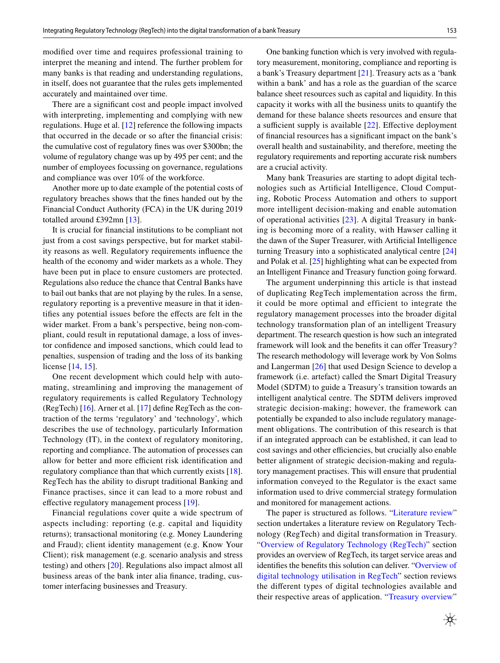modifed over time and requires professional training to interpret the meaning and intend. The further problem for many banks is that reading and understanding regulations, in itself, does not guarantee that the rules gets implemented accurately and maintained over time.

There are a signifcant cost and people impact involved with interpreting, implementing and complying with new regulations. Huge et al. [\[12](#page-15-4)] reference the following impacts that occurred in the decade or so after the fnancial crisis: the cumulative cost of regulatory fnes was over \$300bn; the volume of regulatory change was up by 495 per cent; and the number of employees focussing on governance, regulations and compliance was over 10% of the workforce.

Another more up to date example of the potential costs of regulatory breaches shows that the fnes handed out by the Financial Conduct Authority (FCA) in the UK during 2019 totalled around £392mn [\[13](#page-15-5)].

It is crucial for fnancial institutions to be compliant not just from a cost savings perspective, but for market stability reasons as well. Regulatory requirements infuence the health of the economy and wider markets as a whole. They have been put in place to ensure customers are protected. Regulations also reduce the chance that Central Banks have to bail out banks that are not playing by the rules. In a sense, regulatory reporting is a preventive measure in that it identifes any potential issues before the efects are felt in the wider market. From a bank's perspective, being non-compliant, could result in reputational damage, a loss of investor confdence and imposed sanctions, which could lead to penalties, suspension of trading and the loss of its banking license [[14](#page-15-6), [15](#page-15-7)].

One recent development which could help with automating, streamlining and improving the management of regulatory requirements is called Regulatory Technology (RegTech) [\[16](#page-15-8)]. Arner et al. [[17\]](#page-15-9) defne RegTech as the contraction of the terms 'regulatory' and 'technology', which describes the use of technology, particularly Information Technology (IT), in the context of regulatory monitoring, reporting and compliance. The automation of processes can allow for better and more efficient risk identification and regulatory compliance than that which currently exists [\[18](#page-15-10)]. RegTech has the ability to disrupt traditional Banking and Finance practises, since it can lead to a more robust and effective regulatory management process [\[19](#page-15-11)].

Financial regulations cover quite a wide spectrum of aspects including: reporting (e.g. capital and liquidity returns); transactional monitoring (e.g. Money Laundering and Fraud); client identity management (e.g. Know Your Client); risk management (e.g. scenario analysis and stress testing) and others [[20\]](#page-15-12). Regulations also impact almost all business areas of the bank inter alia fnance, trading, customer interfacing businesses and Treasury.

One banking function which is very involved with regulatory measurement, monitoring, compliance and reporting is a bank's Treasury department [\[21](#page-15-13)]. Treasury acts as a 'bank within a bank' and has a role as the guardian of the scarce balance sheet resources such as capital and liquidity. In this capacity it works with all the business units to quantify the demand for these balance sheets resources and ensure that a sufficient supply is available  $[22]$  $[22]$ . Effective deployment of fnancial resources has a signifcant impact on the bank's overall health and sustainability, and therefore, meeting the regulatory requirements and reporting accurate risk numbers are a crucial activity.

Many bank Treasuries are starting to adopt digital technologies such as Artifcial Intelligence, Cloud Computing, Robotic Process Automation and others to support more intelligent decision-making and enable automation of operational activities [\[23\]](#page-15-15). A digital Treasury in banking is becoming more of a reality, with Hawser calling it the dawn of the Super Treasurer, with Artifcial Intelligence turning Treasury into a sophisticated analytical centre [[24\]](#page-15-16) and Polak et al. [\[25\]](#page-15-17) highlighting what can be expected from an Intelligent Finance and Treasury function going forward.

The argument underpinning this article is that instead of duplicating RegTech implementation across the frm, it could be more optimal and efficient to integrate the regulatory management processes into the broader digital technology transformation plan of an intelligent Treasury department. The research question is how such an integrated framework will look and the benefits it can offer Treasury? The research methodology will leverage work by Von Solms and Langerman [\[26](#page-15-18)] that used Design Science to develop a framework (i.e. artefact) called the Smart Digital Treasury Model (SDTM) to guide a Treasury's transition towards an intelligent analytical centre. The SDTM delivers improved strategic decision-making; however, the framework can potentially be expanded to also include regulatory management obligations. The contribution of this research is that if an integrated approach can be established, it can lead to cost savings and other efficiencies, but crucially also enable better alignment of strategic decision-making and regulatory management practises. This will ensure that prudential information conveyed to the Regulator is the exact same information used to drive commercial strategy formulation and monitored for management actions.

The paper is structured as follows. ["Literature review"](#page-2-0) section undertakes a literature review on Regulatory Technology (RegTech) and digital transformation in Treasury. "[Overview of Regulatory Technology \(RegTech\)"](#page-3-0) section provides an overview of RegTech, its target service areas and identifes the benefts this solution can deliver. "[Overview of](#page-5-0) [digital technology utilisation in RegTech"](#page-5-0) section reviews the diferent types of digital technologies available and their respective areas of application. "[Treasury overview"](#page-7-0)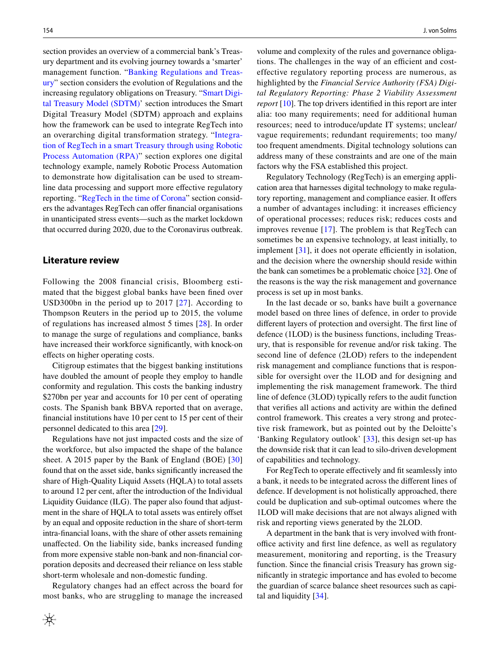section provides an overview of a commercial bank's Treasury department and its evolving journey towards a 'smarter' management function. "[Banking Regulations and Treas](#page-7-1)[ury"](#page-7-1) section considers the evolution of Regulations and the increasing regulatory obligations on Treasury. ["Smart Digi](#page-10-0)[tal Treasury Model \(SDTM\)'](#page-10-0) section introduces the Smart Digital Treasury Model (SDTM) approach and explains how the framework can be used to integrate RegTech into an overarching digital transformation strategy. "[Integra](#page-11-0)[tion of RegTech in a smart Treasury through using Robotic](#page-11-0) [Process Automation \(RPA\)](#page-11-0)" section explores one digital technology example, namely Robotic Process Automation to demonstrate how digitalisation can be used to streamline data processing and support more efective regulatory reporting. "[RegTech in the time of Corona"](#page-13-0) section considers the advantages RegTech can offer financial organisations in unanticipated stress events—such as the market lockdown that occurred during 2020, due to the Coronavirus outbreak.

### <span id="page-2-0"></span>**Literature review**

Following the 2008 financial crisis, Bloomberg estimated that the biggest global banks have been fned over USD300bn in the period up to 2017 [\[27\]](#page-15-19). According to Thompson Reuters in the period up to 2015, the volume of regulations has increased almost 5 times [[28](#page-15-20)]. In order to manage the surge of regulations and compliance, banks have increased their workforce signifcantly, with knock-on efects on higher operating costs.

Citigroup estimates that the biggest banking institutions have doubled the amount of people they employ to handle conformity and regulation. This costs the banking industry \$270bn per year and accounts for 10 per cent of operating costs. The Spanish bank BBVA reported that on average, fnancial institutions have 10 per cent to 15 per cent of their personnel dedicated to this area [[29](#page-15-21)].

Regulations have not just impacted costs and the size of the workforce, but also impacted the shape of the balance sheet. A 2015 paper by the Bank of England (BOE) [\[30\]](#page-15-22) found that on the asset side, banks signifcantly increased the share of High-Quality Liquid Assets (HQLA) to total assets to around 12 per cent, after the introduction of the Individual Liquidity Guidance (ILG). The paper also found that adjustment in the share of HQLA to total assets was entirely offset by an equal and opposite reduction in the share of short-term intra-fnancial loans, with the share of other assets remaining unafected. On the liability side, banks increased funding from more expensive stable non-bank and non-fnancial corporation deposits and decreased their reliance on less stable short-term wholesale and non-domestic funding.

Regulatory changes had an efect across the board for most banks, who are struggling to manage the increased

volume and complexity of the rules and governance obligations. The challenges in the way of an efficient and costeffective regulatory reporting process are numerous, as highlighted by the *Financial Service Authority (FSA) Digital Regulatory Reporting: Phase 2 Viability Assessment report* [[10\]](#page-15-2). The top drivers identifed in this report are inter alia: too many requirements; need for additional human resources; need to introduce/update IT systems; unclear/ vague requirements; redundant requirements; too many/ too frequent amendments. Digital technology solutions can address many of these constraints and are one of the main factors why the FSA established this project.

Regulatory Technology (RegTech) is an emerging application area that harnesses digital technology to make regulatory reporting, management and compliance easier. It offers a number of advantages including: it increases efficiency of operational processes; reduces risk; reduces costs and improves revenue [[17](#page-15-9)]. The problem is that RegTech can sometimes be an expensive technology, at least initially, to implement  $[31]$  $[31]$ , it does not operate efficiently in isolation, and the decision where the ownership should reside within the bank can sometimes be a problematic choice [[32\]](#page-15-24). One of the reasons is the way the risk management and governance process is set up in most banks.

In the last decade or so, banks have built a governance model based on three lines of defence, in order to provide different layers of protection and oversight. The first line of defence (1LOD) is the business functions, including Treasury, that is responsible for revenue and/or risk taking. The second line of defence (2LOD) refers to the independent risk management and compliance functions that is responsible for oversight over the 1LOD and for designing and implementing the risk management framework. The third line of defence (3LOD) typically refers to the audit function that verifes all actions and activity are within the defned control framework. This creates a very strong and protective risk framework, but as pointed out by the Deloitte's 'Banking Regulatory outlook' [\[33\]](#page-15-25), this design set-up has the downside risk that it can lead to silo-driven development of capabilities and technology.

For RegTech to operate effectively and fit seamlessly into a bank, it needs to be integrated across the diferent lines of defence. If development is not holistically approached, there could be duplication and sub-optimal outcomes where the 1LOD will make decisions that are not always aligned with risk and reporting views generated by the 2LOD.

A department in the bank that is very involved with frontoffice activity and first line defence, as well as regulatory measurement, monitoring and reporting, is the Treasury function. Since the fnancial crisis Treasury has grown signifcantly in strategic importance and has evoled to become the guardian of scarce balance sheet resources such as capital and liquidity [[34\]](#page-15-26).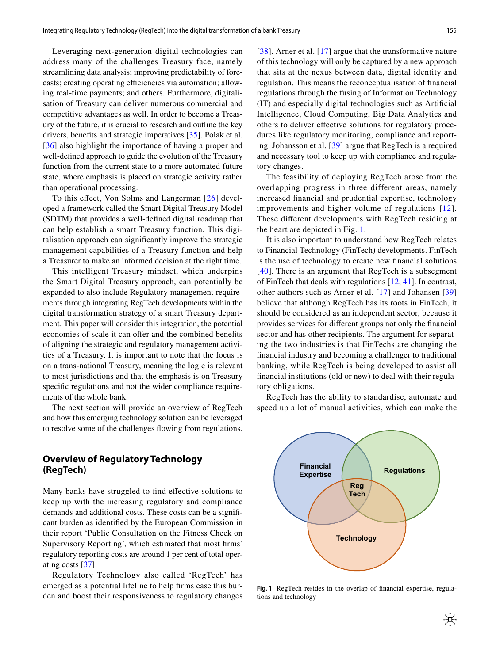Leveraging next-generation digital technologies can address many of the challenges Treasury face, namely streamlining data analysis; improving predictability of forecasts; creating operating efficiencies via automation; allowing real-time payments; and others. Furthermore, digitalisation of Treasury can deliver numerous commercial and competitive advantages as well. In order to become a Treasury of the future, it is crucial to research and outline the key drivers, benefts and strategic imperatives [\[35](#page-15-27)]. Polak et al. [\[36\]](#page-15-28) also highlight the importance of having a proper and well-defned approach to guide the evolution of the Treasury function from the current state to a more automated future state, where emphasis is placed on strategic activity rather than operational processing.

To this effect, Von Solms and Langerman [\[26\]](#page-15-18) developed a framework called the Smart Digital Treasury Model (SDTM) that provides a well-defned digital roadmap that can help establish a smart Treasury function. This digitalisation approach can signifcantly improve the strategic management capabilities of a Treasury function and help a Treasurer to make an informed decision at the right time.

This intelligent Treasury mindset, which underpins the Smart Digital Treasury approach, can potentially be expanded to also include Regulatory management requirements through integrating RegTech developments within the digital transformation strategy of a smart Treasury department. This paper will consider this integration, the potential economies of scale it can offer and the combined benefits of aligning the strategic and regulatory management activities of a Treasury. It is important to note that the focus is on a trans-national Treasury, meaning the logic is relevant to most jurisdictions and that the emphasis is on Treasury specific regulations and not the wider compliance requirements of the whole bank.

The next section will provide an overview of RegTech and how this emerging technology solution can be leveraged to resolve some of the challenges fowing from regulations.

# <span id="page-3-0"></span>**Overview of Regulatory Technology (RegTech)**

Many banks have struggled to fnd efective solutions to keep up with the increasing regulatory and compliance demands and additional costs. These costs can be a signifcant burden as identifed by the European Commission in their report 'Public Consultation on the Fitness Check on Supervisory Reporting', which estimated that most frms' regulatory reporting costs are around 1 per cent of total operating costs [[37\]](#page-15-29).

Regulatory Technology also called 'RegTech' has emerged as a potential lifeline to help frms ease this burden and boost their responsiveness to regulatory changes [[38\]](#page-16-0). Arner et al. [\[17](#page-15-9)] argue that the transformative nature of this technology will only be captured by a new approach that sits at the nexus between data, digital identity and regulation. This means the reconceptualisation of fnancial regulations through the fusing of Information Technology (IT) and especially digital technologies such as Artifcial Intelligence, Cloud Computing, Big Data Analytics and others to deliver efective solutions for regulatory procedures like regulatory monitoring, compliance and reporting. Johansson et al. [\[39](#page-16-1)] argue that RegTech is a required and necessary tool to keep up with compliance and regulatory changes.

The feasibility of deploying RegTech arose from the overlapping progress in three different areas, namely increased fnancial and prudential expertise, technology improvements and higher volume of regulations [[12](#page-15-4)]. These diferent developments with RegTech residing at the heart are depicted in Fig. [1.](#page-3-1)

It is also important to understand how RegTech relates to Financial Technology (FinTech) developments. FinTech is the use of technology to create new fnancial solutions [[40](#page-16-2)]. There is an argument that RegTech is a subsegment of FinTech that deals with regulations [\[12](#page-15-4), [41](#page-16-3)]. In contrast, other authors such as Arner et al. [[17](#page-15-9)] and Johansen [[39\]](#page-16-1) believe that although RegTech has its roots in FinTech, it should be considered as an independent sector, because it provides services for diferent groups not only the fnancial sector and has other recipients. The argument for separating the two industries is that FinTechs are changing the fnancial industry and becoming a challenger to traditional banking, while RegTech is being developed to assist all fnancial institutions (old or new) to deal with their regulatory obligations.

RegTech has the ability to standardise, automate and speed up a lot of manual activities, which can make the



<span id="page-3-1"></span>**Fig. 1** RegTech resides in the overlap of fnancial expertise, regulations and technology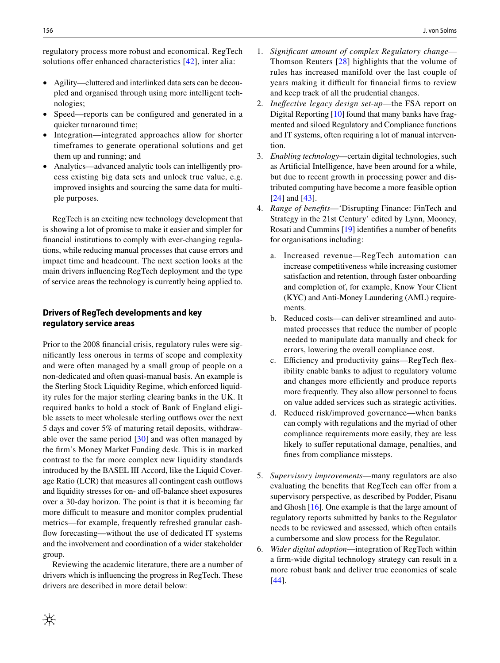regulatory process more robust and economical. RegTech solutions offer enhanced characteristics [\[42\]](#page-16-4), inter alia:

- Agility—cluttered and interlinked data sets can be decoupled and organised through using more intelligent technologies;
- Speed—reports can be configured and generated in a quicker turnaround time;
- Integration—integrated approaches allow for shorter timeframes to generate operational solutions and get them up and running; and
- Analytics—advanced analytic tools can intelligently process existing big data sets and unlock true value, e.g. improved insights and sourcing the same data for multiple purposes.

RegTech is an exciting new technology development that is showing a lot of promise to make it easier and simpler for fnancial institutions to comply with ever-changing regulations, while reducing manual processes that cause errors and impact time and headcount. The next section looks at the main drivers infuencing RegTech deployment and the type of service areas the technology is currently being applied to.

### **Drivers of RegTech developments and key regulatory service areas**

Prior to the 2008 fnancial crisis, regulatory rules were signifcantly less onerous in terms of scope and complexity and were often managed by a small group of people on a non-dedicated and often quasi-manual basis. An example is the Sterling Stock Liquidity Regime, which enforced liquidity rules for the major sterling clearing banks in the UK. It required banks to hold a stock of Bank of England eligible assets to meet wholesale sterling outfows over the next 5 days and cover 5% of maturing retail deposits, withdrawable over the same period  $[30]$  $[30]$  and was often managed by the frm's Money Market Funding desk. This is in marked contrast to the far more complex new liquidity standards introduced by the BASEL III Accord, like the Liquid Coverage Ratio (LCR) that measures all contingent cash outfows and liquidity stresses for on- and off-balance sheet exposures over a 30-day horizon. The point is that it is becoming far more difficult to measure and monitor complex prudential metrics—for example, frequently refreshed granular cashfow forecasting—without the use of dedicated IT systems and the involvement and coordination of a wider stakeholder group.

Reviewing the academic literature, there are a number of drivers which is infuencing the progress in RegTech. These drivers are described in more detail below:

- 1. *Signifcant amount of complex Regulatory change* Thomson Reuters [\[28\]](#page-15-20) highlights that the volume of rules has increased manifold over the last couple of years making it difficult for financial firms to review and keep track of all the prudential changes.
- 2. *Inefective legacy design set*-*up*—the FSA report on Digital Reporting [\[10](#page-15-2)] found that many banks have fragmented and siloed Regulatory and Compliance functions and IT systems, often requiring a lot of manual intervention.
- 3. *Enabling technology*—certain digital technologies, such as Artifcial Intelligence, have been around for a while, but due to recent growth in processing power and distributed computing have become a more feasible option [[24\]](#page-15-16) and [[43\]](#page-16-5).
- 4. *Range of benefts*—'Disrupting Finance: FinTech and Strategy in the 21st Century' edited by Lynn, Mooney, Rosati and Cummins [\[19\]](#page-15-11) identifes a number of benefts for organisations including:
	- a. Increased revenue—RegTech automation can increase competitiveness while increasing customer satisfaction and retention, through faster onboarding and completion of, for example, Know Your Client (KYC) and Anti-Money Laundering (AML) requirements.
	- b. Reduced costs—can deliver streamlined and automated processes that reduce the number of people needed to manipulate data manually and check for errors, lowering the overall compliance cost.
	- c. Efficiency and productivity gains—RegTech flexibility enable banks to adjust to regulatory volume and changes more efficiently and produce reports more frequently. They also allow personnel to focus on value added services such as strategic activities.
	- d. Reduced risk/improved governance—when banks can comply with regulations and the myriad of other compliance requirements more easily, they are less likely to suffer reputational damage, penalties, and fnes from compliance missteps.
- 5. *Supervisory improvements*—many regulators are also evaluating the benefits that RegTech can offer from a supervisory perspective, as described by Podder, Pisanu and Ghosh [\[16\]](#page-15-8). One example is that the large amount of regulatory reports submitted by banks to the Regulator needs to be reviewed and assessed, which often entails a cumbersome and slow process for the Regulator.
- 6. *Wider digital adoption*—integration of RegTech within a frm-wide digital technology strategy can result in a more robust bank and deliver true economies of scale [[44\]](#page-16-6).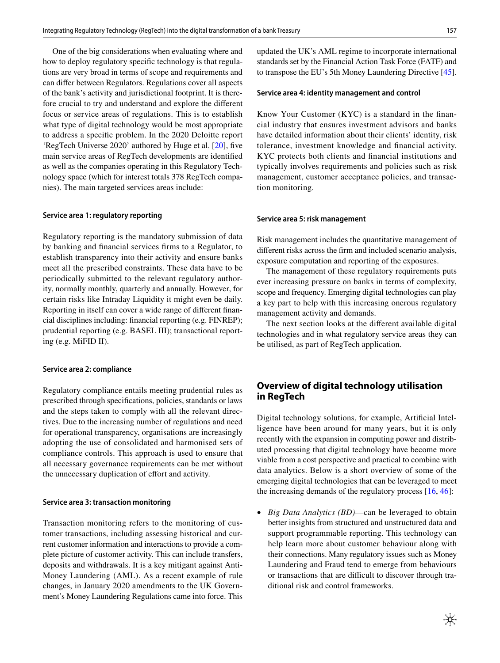One of the big considerations when evaluating where and how to deploy regulatory specifc technology is that regulations are very broad in terms of scope and requirements and can difer between Regulators. Regulations cover all aspects of the bank's activity and jurisdictional footprint. It is therefore crucial to try and understand and explore the diferent focus or service areas of regulations. This is to establish what type of digital technology would be most appropriate to address a specifc problem. In the 2020 Deloitte report 'RegTech Universe 2020' authored by Huge et al. [[20\]](#page-15-12), fve main service areas of RegTech developments are identifed as well as the companies operating in this Regulatory Technology space (which for interest totals 378 RegTech companies). The main targeted services areas include:

#### **Service area 1: regulatory reporting**

Regulatory reporting is the mandatory submission of data by banking and fnancial services frms to a Regulator, to establish transparency into their activity and ensure banks meet all the prescribed constraints. These data have to be periodically submitted to the relevant regulatory authority, normally monthly, quarterly and annually. However, for certain risks like Intraday Liquidity it might even be daily. Reporting in itself can cover a wide range of diferent fnancial disciplines including: fnancial reporting (e.g. FINREP); prudential reporting (e.g. BASEL III); transactional reporting (e.g. MiFID II).

#### **Service area 2: compliance**

Regulatory compliance entails meeting prudential rules as prescribed through specifcations, policies, standards or laws and the steps taken to comply with all the relevant directives. Due to the increasing number of regulations and need for operational transparency, organisations are increasingly adopting the use of consolidated and harmonised sets of compliance controls. This approach is used to ensure that all necessary governance requirements can be met without the unnecessary duplication of effort and activity.

#### **Service area 3: transaction monitoring**

Transaction monitoring refers to the monitoring of customer transactions, including assessing historical and current customer information and interactions to provide a complete picture of customer activity. This can include transfers, deposits and withdrawals. It is a key mitigant against Anti-Money Laundering (AML). As a recent example of rule changes, in January 2020 amendments to the UK Government's Money Laundering Regulations came into force. This updated the UK's AML regime to incorporate international standards set by the Financial Action Task Force (FATF) and to transpose the EU's 5th Money Laundering Directive [\[45](#page-16-7)].

#### **Service area 4: identity management and control**

Know Your Customer (KYC) is a standard in the fnancial industry that ensures investment advisors and banks have detailed information about their clients' identity, risk tolerance, investment knowledge and fnancial activity. KYC protects both clients and fnancial institutions and typically involves requirements and policies such as risk management, customer acceptance policies, and transaction monitoring.

#### **Service area 5: risk management**

Risk management includes the quantitative management of diferent risks across the frm and included scenario analysis, exposure computation and reporting of the exposures.

The management of these regulatory requirements puts ever increasing pressure on banks in terms of complexity, scope and frequency. Emerging digital technologies can play a key part to help with this increasing onerous regulatory management activity and demands.

The next section looks at the diferent available digital technologies and in what regulatory service areas they can be utilised, as part of RegTech application.

# <span id="page-5-0"></span>**Overview of digital technology utilisation in RegTech**

Digital technology solutions, for example, Artifcial Intelligence have been around for many years, but it is only recently with the expansion in computing power and distributed processing that digital technology have become more viable from a cost perspective and practical to combine with data analytics. Below is a short overview of some of the emerging digital technologies that can be leveraged to meet the increasing demands of the regulatory process  $[16, 46]$  $[16, 46]$  $[16, 46]$ :

• *Big Data Analytics (BD)*—can be leveraged to obtain better insights from structured and unstructured data and support programmable reporting. This technology can help learn more about customer behaviour along with their connections. Many regulatory issues such as Money Laundering and Fraud tend to emerge from behaviours or transactions that are difficult to discover through traditional risk and control frameworks.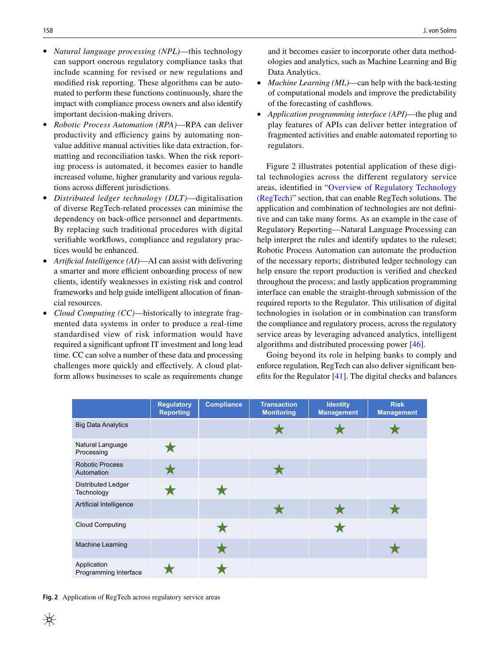- *Natural language processing (NPL)*—this technology can support onerous regulatory compliance tasks that include scanning for revised or new regulations and modifed risk reporting. These algorithms can be automated to perform these functions continuously, share the impact with compliance process owners and also identify important decision-making drivers.
- *Robotic Process Automation (RPA)*—RPA can deliver productivity and efficiency gains by automating nonvalue additive manual activities like data extraction, formatting and reconciliation tasks. When the risk reporting process is automated, it becomes easier to handle increased volume, higher granularity and various regulations across diferent jurisdictions.
- *Distributed ledger technology (DLT)*—digitalisation of diverse RegTech-related processes can minimise the dependency on back-office personnel and departments. By replacing such traditional procedures with digital verifable workfows, compliance and regulatory practices would be enhanced.
- *Artifcial Intelligence (AI)*—AI can assist with delivering a smarter and more efficient onboarding process of new clients, identify weaknesses in existing risk and control frameworks and help guide intelligent allocation of fnancial resources.
- *Cloud Computing (CC)*—historically to integrate fragmented data systems in order to produce a real-time standardised view of risk information would have required a signifcant upfront IT investment and long lead time. CC can solve a number of these data and processing challenges more quickly and efectively. A cloud platform allows businesses to scale as requirements change

and it becomes easier to incorporate other data methodologies and analytics, such as Machine Learning and Big Data Analytics.

- *Machine Learning (ML)*—can help with the back-testing of computational models and improve the predictability of the forecasting of cashfows.
- *Application programming interface (API)*—the plug and play features of APIs can deliver better integration of fragmented activities and enable automated reporting to regulators.

Figure [2](#page-6-0) illustrates potential application of these digital technologies across the different regulatory service areas, identifed in ["Overview of Regulatory Technology](#page-3-0) [\(RegTech\)](#page-3-0)" section, that can enable RegTech solutions. The application and combination of technologies are not defnitive and can take many forms. As an example in the case of Regulatory Reporting—Natural Language Processing can help interpret the rules and identify updates to the ruleset; Robotic Process Automation can automate the production of the necessary reports; distributed ledger technology can help ensure the report production is verifed and checked throughout the process; and lastly application programming interface can enable the straight-through submission of the required reports to the Regulator. This utilisation of digital technologies in isolation or in combination can transform the compliance and regulatory process, across the regulatory service areas by leveraging advanced analytics, intelligent algorithms and distributed processing power [\[46](#page-16-8)].

Going beyond its role in helping banks to comply and enforce regulation, RegTech can also deliver signifcant benefts for the Regulator [[41](#page-16-3)]. The digital checks and balances

|                                         | <b>Regulatory</b><br><b>Reporting</b> | <b>Compliance</b> | <b>Transaction</b><br><b>Monitoring</b> | <b>Identity</b><br><b>Management</b> | <b>Risk</b><br><b>Management</b> |
|-----------------------------------------|---------------------------------------|-------------------|-----------------------------------------|--------------------------------------|----------------------------------|
| <b>Big Data Analytics</b>               |                                       |                   |                                         |                                      |                                  |
| Natural Language<br>Processing          |                                       |                   |                                         |                                      |                                  |
| <b>Robotic Process</b><br>Automation    |                                       |                   |                                         |                                      |                                  |
| <b>Distributed Ledger</b><br>Technology |                                       |                   |                                         |                                      |                                  |
| Artificial Intelligence                 |                                       |                   |                                         |                                      |                                  |
| <b>Cloud Computing</b>                  |                                       |                   |                                         |                                      |                                  |
| Machine Learning                        |                                       |                   |                                         |                                      |                                  |
| Application<br>Programming Interface    |                                       |                   |                                         |                                      |                                  |

<span id="page-6-0"></span>**Fig. 2** Application of RegTech across regulatory service areas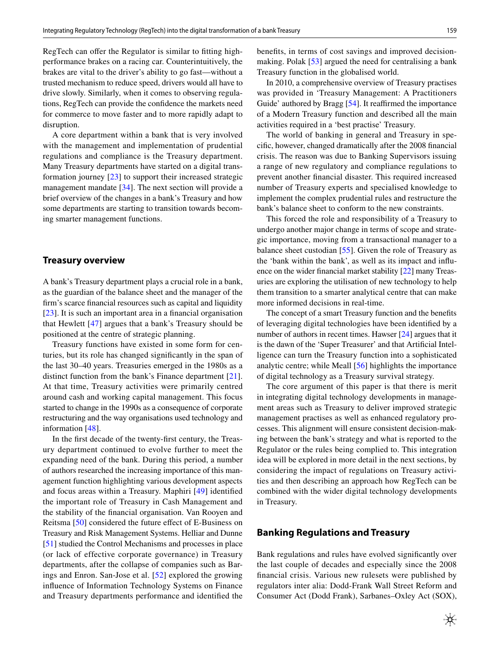RegTech can offer the Regulator is similar to fitting highperformance brakes on a racing car. Counterintuitively, the brakes are vital to the driver's ability to go fast—without a trusted mechanism to reduce speed, drivers would all have to drive slowly. Similarly, when it comes to observing regulations, RegTech can provide the confdence the markets need for commerce to move faster and to more rapidly adapt to disruption.

A core department within a bank that is very involved with the management and implementation of prudential regulations and compliance is the Treasury department. Many Treasury departments have started on a digital transformation journey [\[23](#page-15-15)] to support their increased strategic management mandate [\[34](#page-15-26)]. The next section will provide a brief overview of the changes in a bank's Treasury and how some departments are starting to transition towards becoming smarter management functions.

#### <span id="page-7-0"></span>**Treasury overview**

A bank's Treasury department plays a crucial role in a bank, as the guardian of the balance sheet and the manager of the frm's scarce fnancial resources such as capital and liquidity [\[23\]](#page-15-15). It is such an important area in a fnancial organisation that Hewlett [[47](#page-16-9)] argues that a bank's Treasury should be positioned at the centre of strategic planning.

Treasury functions have existed in some form for centuries, but its role has changed signifcantly in the span of the last 30–40 years. Treasuries emerged in the 1980s as a distinct function from the bank's Finance department [\[21](#page-15-13)]. At that time, Treasury activities were primarily centred around cash and working capital management. This focus started to change in the 1990s as a consequence of corporate restructuring and the way organisations used technology and information [\[48\]](#page-16-10).

In the frst decade of the twenty-frst century, the Treasury department continued to evolve further to meet the expanding need of the bank. During this period, a number of authors researched the increasing importance of this management function highlighting various development aspects and focus areas within a Treasury. Maphiri [[49](#page-16-11)] identifed the important role of Treasury in Cash Management and the stability of the fnancial organisation. Van Rooyen and Reitsma [\[50](#page-16-12)] considered the future effect of E-Business on Treasury and Risk Management Systems. Helliar and Dunne [\[51](#page-16-13)] studied the Control Mechanisms and processes in place (or lack of effective corporate governance) in Treasury departments, after the collapse of companies such as Barings and Enron. San-Jose et al. [[52\]](#page-16-14) explored the growing infuence of Information Technology Systems on Finance and Treasury departments performance and identifed the

benefts, in terms of cost savings and improved decisionmaking. Polak [[53\]](#page-16-15) argued the need for centralising a bank Treasury function in the globalised world.

In 2010, a comprehensive overview of Treasury practises was provided in 'Treasury Management: A Practitioners Guide' authored by Bragg [[54\]](#page-16-16). It reaffirmed the importance of a Modern Treasury function and described all the main activities required in a 'best practise' Treasury.

The world of banking in general and Treasury in specifc, however, changed dramatically after the 2008 fnancial crisis. The reason was due to Banking Supervisors issuing a range of new regulatory and compliance regulations to prevent another fnancial disaster. This required increased number of Treasury experts and specialised knowledge to implement the complex prudential rules and restructure the bank's balance sheet to conform to the new constraints.

This forced the role and responsibility of a Treasury to undergo another major change in terms of scope and strategic importance, moving from a transactional manager to a balance sheet custodian [[55\]](#page-16-17). Given the role of Treasury as the 'bank within the bank', as well as its impact and infuence on the wider fnancial market stability [\[22\]](#page-15-14) many Treasuries are exploring the utilisation of new technology to help them transition to a smarter analytical centre that can make more informed decisions in real-time.

The concept of a smart Treasury function and the benefts of leveraging digital technologies have been identifed by a number of authors in recent times. Hawser [\[24](#page-15-16)] argues that it is the dawn of the 'Super Treasurer' and that Artifcial Intelligence can turn the Treasury function into a sophisticated analytic centre; while Meall [[56\]](#page-16-18) highlights the importance of digital technology as a Treasury survival strategy.

The core argument of this paper is that there is merit in integrating digital technology developments in management areas such as Treasury to deliver improved strategic management practises as well as enhanced regulatory processes. This alignment will ensure consistent decision-making between the bank's strategy and what is reported to the Regulator or the rules being complied to. This integration idea will be explored in more detail in the next sections, by considering the impact of regulations on Treasury activities and then describing an approach how RegTech can be combined with the wider digital technology developments in Treasury.

### <span id="page-7-1"></span>**Banking Regulations and Treasury**

Bank regulations and rules have evolved signifcantly over the last couple of decades and especially since the 2008 fnancial crisis. Various new rulesets were published by regulators inter alia: Dodd-Frank Wall Street Reform and Consumer Act (Dodd Frank), Sarbanes–Oxley Act (SOX),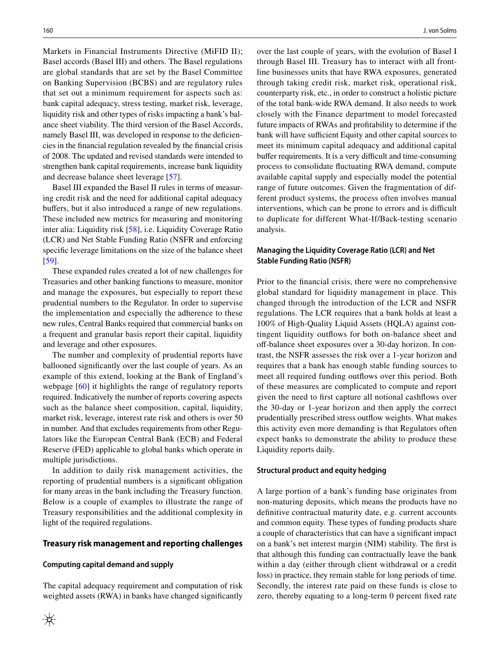Markets in Financial Instruments Directive (MiFID II); Basel accords (Basel III) and others. The Basel regulations are global standards that are set by the Basel Committee on Banking Supervision (BCBS) and are regulatory rules that set out a minimum requirement for aspects such as: bank capital adequacy, stress testing, market risk, leverage, liquidity risk and other types of risks impacting a bank's balance sheet viability. The third version of the Basel Accords, namely Basel III, was developed in response to the deficiencies in the fnancial regulation revealed by the fnancial crisis of 2008. The updated and revised standards were intended to strengthen bank capital requirements, increase bank liquidity and decrease balance sheet leverage [\[57](#page-16-19)].

Basel III expanded the Basel II rules in terms of measuring credit risk and the need for additional capital adequacy buffers, but it also introduced a range of new regulations. These included new metrics for measuring and monitoring inter alia: Liquidity risk [\[58](#page-16-20)], i.e. Liquidity Coverage Ratio (LCR) and Net Stable Funding Ratio (NSFR and enforcing specifc leverage limitations on the size of the balance sheet [\[59\]](#page-16-21).

These expanded rules created a lot of new challenges for Treasuries and other banking functions to measure, monitor and manage the exposures, but especially to report these prudential numbers to the Regulator. In order to supervise the implementation and especially the adherence to these new rules, Central Banks required that commercial banks on a frequent and granular basis report their capital, liquidity and leverage and other exposures.

The number and complexity of prudential reports have ballooned signifcantly over the last couple of years. As an example of this extend, looking at the Bank of England's webpage [\[60\]](#page-16-22) it highlights the range of regulatory reports required. Indicatively the number of reports covering aspects such as the balance sheet composition, capital, liquidity, market risk, leverage, interest rate risk and others is over 50 in number. And that excludes requirements from other Regulators like the European Central Bank (ECB) and Federal Reserve (FED) applicable to global banks which operate in multiple jurisdictions.

In addition to daily risk management activities, the reporting of prudential numbers is a signifcant obligation for many areas in the bank including the Treasury function. Below is a couple of examples to illustrate the range of Treasury responsibilities and the additional complexity in light of the required regulations.

#### **Treasury risk management and reporting challenges**

#### **Computing capital demand and supply**

The capital adequacy requirement and computation of risk weighted assets (RWA) in banks have changed signifcantly over the last couple of years, with the evolution of Basel I through Basel III. Treasury has to interact with all frontline businesses units that have RWA exposures, generated through taking credit risk, market risk, operational risk, counterparty risk, etc., in order to construct a holistic picture of the total bank-wide RWA demand. It also needs to work closely with the Finance department to model forecasted future impacts of RWAs and proftability to determine if the bank will have sufficient Equity and other capital sources to meet its minimum capital adequacy and additional capital buffer requirements. It is a very difficult and time-consuming process to consolidate fuctuating RWA demand, compute available capital supply and especially model the potential range of future outcomes. Given the fragmentation of different product systems, the process often involves manual interventions, which can be prone to errors and is difficult to duplicate for different What-If/Back-testing scenario analysis.

### **Managing the Liquidity Coverage Ratio (LCR) and Net Stable Funding Ratio (NSFR)**

Prior to the fnancial crisis, there were no comprehensive global standard for liquidity management in place. This changed through the introduction of the LCR and NSFR regulations. The LCR requires that a bank holds at least a 100% of High-Quality Liquid Assets (HQLA) against contingent liquidity outfows for both on-balance sheet and off-balance sheet exposures over a 30-day horizon. In contrast, the NSFR assesses the risk over a 1-year horizon and requires that a bank has enough stable funding sources to meet all required funding outflows over this period. Both of these measures are complicated to compute and report given the need to frst capture all notional cashfows over the 30-day or 1-year horizon and then apply the correct prudentially prescribed stress outfow weights. What makes this activity even more demanding is that Regulators often expect banks to demonstrate the ability to produce these Liquidity reports daily.

#### **Structural product and equity hedging**

A large portion of a bank's funding base originates from non-maturing deposits, which means the products have no defnitive contractual maturity date, e.g. current accounts and common equity. These types of funding products share a couple of characteristics that can have a signifcant impact on a bank's net interest margin (NIM) stability. The frst is that although this funding can contractually leave the bank within a day (either through client withdrawal or a credit loss) in practice, they remain stable for long periods of time. Secondly, the interest rate paid on these funds is close to zero, thereby equating to a long-term 0 percent fxed rate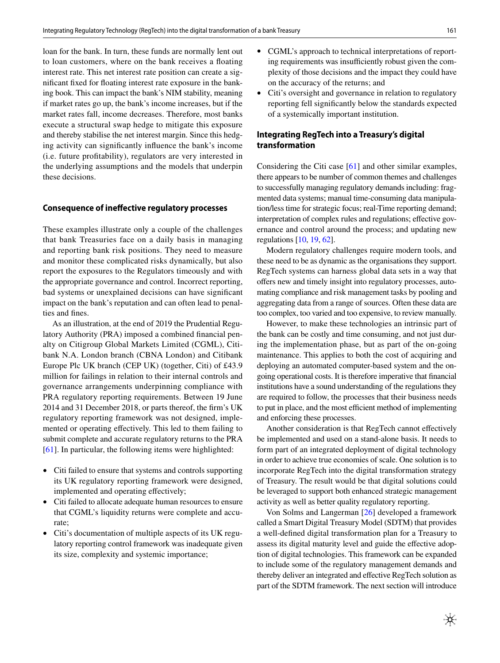loan for the bank. In turn, these funds are normally lent out to loan customers, where on the bank receives a foating interest rate. This net interest rate position can create a signifcant fxed for foating interest rate exposure in the banking book. This can impact the bank's NIM stability, meaning if market rates go up, the bank's income increases, but if the market rates fall, income decreases. Therefore, most banks execute a structural swap hedge to mitigate this exposure and thereby stabilise the net interest margin. Since this hedging activity can signifcantly infuence the bank's income (i.e. future proftability), regulators are very interested in the underlying assumptions and the models that underpin these decisions.

#### **Consequence of inefective regulatory processes**

These examples illustrate only a couple of the challenges that bank Treasuries face on a daily basis in managing and reporting bank risk positions. They need to measure and monitor these complicated risks dynamically, but also report the exposures to the Regulators timeously and with the appropriate governance and control. Incorrect reporting, bad systems or unexplained decisions can have signifcant impact on the bank's reputation and can often lead to penalties and fnes.

As an illustration, at the end of 2019 the Prudential Regulatory Authority (PRA) imposed a combined fnancial penalty on Citigroup Global Markets Limited (CGML), Citibank N.A. London branch (CBNA London) and Citibank Europe Plc UK branch (CEP UK) (together, Citi) of £43.9 million for failings in relation to their internal controls and governance arrangements underpinning compliance with PRA regulatory reporting requirements. Between 19 June 2014 and 31 December 2018, or parts thereof, the frm's UK regulatory reporting framework was not designed, implemented or operating efectively. This led to them failing to submit complete and accurate regulatory returns to the PRA [\[61\]](#page-16-23). In particular, the following items were highlighted:

- Citi failed to ensure that systems and controls supporting its UK regulatory reporting framework were designed, implemented and operating efectively;
- Citi failed to allocate adequate human resources to ensure that CGML's liquidity returns were complete and accurate;
- Citi's documentation of multiple aspects of its UK regulatory reporting control framework was inadequate given its size, complexity and systemic importance;
- CGML's approach to technical interpretations of reporting requirements was insufficiently robust given the complexity of those decisions and the impact they could have on the accuracy of the returns; and
- Citi's oversight and governance in relation to regulatory reporting fell signifcantly below the standards expected of a systemically important institution.

### **Integrating RegTech into a Treasury's digital transformation**

Considering the Citi case [[61\]](#page-16-23) and other similar examples, there appears to be number of common themes and challenges to successfully managing regulatory demands including: fragmented data systems; manual time-consuming data manipulation/less time for strategic focus; real-Time reporting demand; interpretation of complex rules and regulations; effective governance and control around the process; and updating new regulations [\[10,](#page-15-2) [19](#page-15-11), [62\]](#page-16-24).

Modern regulatory challenges require modern tools, and these need to be as dynamic as the organisations they support. RegTech systems can harness global data sets in a way that offers new and timely insight into regulatory processes, automating compliance and risk management tasks by pooling and aggregating data from a range of sources. Often these data are too complex, too varied and too expensive, to review manually.

However, to make these technologies an intrinsic part of the bank can be costly and time consuming, and not just during the implementation phase, but as part of the on-going maintenance. This applies to both the cost of acquiring and deploying an automated computer-based system and the ongoing operational costs. It is therefore imperative that fnancial institutions have a sound understanding of the regulations they are required to follow, the processes that their business needs to put in place, and the most efficient method of implementing and enforcing these processes.

Another consideration is that RegTech cannot efectively be implemented and used on a stand-alone basis. It needs to form part of an integrated deployment of digital technology in order to achieve true economies of scale. One solution is to incorporate RegTech into the digital transformation strategy of Treasury. The result would be that digital solutions could be leveraged to support both enhanced strategic management activity as well as better quality regulatory reporting.

Von Solms and Langerman [[26\]](#page-15-18) developed a framework called a Smart Digital Treasury Model (SDTM) that provides a well-defned digital transformation plan for a Treasury to assess its digital maturity level and guide the effective adoption of digital technologies. This framework can be expanded to include some of the regulatory management demands and thereby deliver an integrated and efective RegTech solution as part of the SDTM framework. The next section will introduce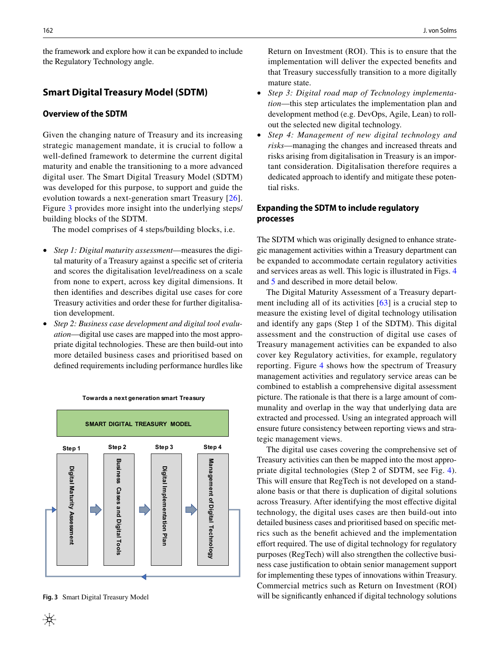the framework and explore how it can be expanded to include the Regulatory Technology angle.

## <span id="page-10-0"></span>**Smart Digital Treasury Model (SDTM)**

# **Overview of the SDTM**

Given the changing nature of Treasury and its increasing strategic management mandate, it is crucial to follow a well-defned framework to determine the current digital maturity and enable the transitioning to a more advanced digital user. The Smart Digital Treasury Model (SDTM) was developed for this purpose, to support and guide the evolution towards a next-generation smart Treasury [[26](#page-15-18)]. Figure [3](#page-10-1) provides more insight into the underlying steps/ building blocks of the SDTM.

The model comprises of 4 steps/building blocks, i.e.

- *Step 1: Digital maturity assessment*—measures the digital maturity of a Treasury against a specifc set of criteria and scores the digitalisation level/readiness on a scale from none to expert, across key digital dimensions. It then identifes and describes digital use cases for core Treasury activities and order these for further digitalisation development.
- *Step 2: Business case development and digital tool evaluation*—digital use cases are mapped into the most appropriate digital technologies. These are then build-out into more detailed business cases and prioritised based on defned requirements including performance hurdles like



#### **Towards a next generation smart Treasury**

<span id="page-10-1"></span>**Fig. 3** Smart Digital Treasury Model

₩

Return on Investment (ROI). This is to ensure that the implementation will deliver the expected benefts and that Treasury successfully transition to a more digitally mature state.

- *Step 3: Digital road map of Technology implementation*—this step articulates the implementation plan and development method (e.g. DevOps, Agile, Lean) to rollout the selected new digital technology.
- *Step 4: Management of new digital technology and risks*—managing the changes and increased threats and risks arising from digitalisation in Treasury is an important consideration. Digitalisation therefore requires a dedicated approach to identify and mitigate these potential risks.

### **Expanding the SDTM to include regulatory processes**

The SDTM which was originally designed to enhance strategic management activities within a Treasury department can be expanded to accommodate certain regulatory activities and services areas as well. This logic is illustrated in Figs. [4](#page-11-1) and [5](#page-12-0) and described in more detail below.

The Digital Maturity Assessment of a Treasury department including all of its activities [\[63](#page-16-25)] is a crucial step to measure the existing level of digital technology utilisation and identify any gaps (Step 1 of the SDTM). This digital assessment and the construction of digital use cases of Treasury management activities can be expanded to also cover key Regulatory activities, for example, regulatory reporting. Figure [4](#page-11-1) shows how the spectrum of Treasury management activities and regulatory service areas can be combined to establish a comprehensive digital assessment picture. The rationale is that there is a large amount of communality and overlap in the way that underlying data are extracted and processed. Using an integrated approach will ensure future consistency between reporting views and strategic management views.

The digital use cases covering the comprehensive set of Treasury activities can then be mapped into the most appropriate digital technologies (Step 2 of SDTM, see Fig. [4](#page-11-1)). This will ensure that RegTech is not developed on a standalone basis or that there is duplication of digital solutions across Treasury. After identifying the most efective digital technology, the digital uses cases are then build-out into detailed business cases and prioritised based on specifc metrics such as the beneft achieved and the implementation effort required. The use of digital technology for regulatory purposes (RegTech) will also strengthen the collective business case justifcation to obtain senior management support for implementing these types of innovations within Treasury. Commercial metrics such as Return on Investment (ROI) will be significantly enhanced if digital technology solutions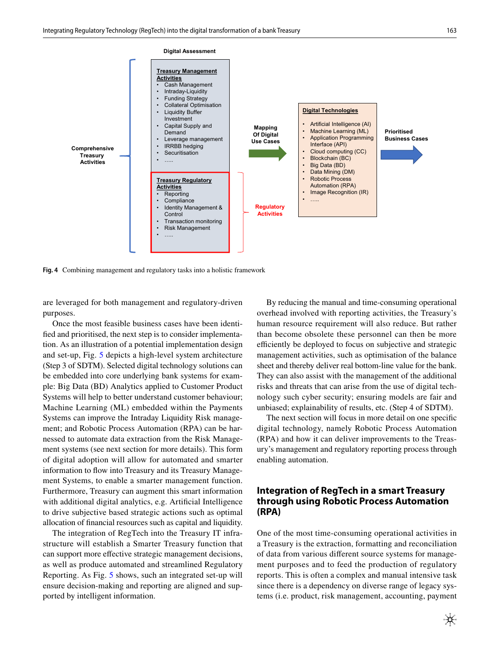

<span id="page-11-1"></span>**Fig. 4** Combining management and regulatory tasks into a holistic framework

are leveraged for both management and regulatory-driven purposes.

Once the most feasible business cases have been identifed and prioritised, the next step is to consider implementation. As an illustration of a potential implementation design and set-up, Fig. [5](#page-12-0) depicts a high-level system architecture (Step 3 of SDTM). Selected digital technology solutions can be embedded into core underlying bank systems for example: Big Data (BD) Analytics applied to Customer Product Systems will help to better understand customer behaviour; Machine Learning (ML) embedded within the Payments Systems can improve the Intraday Liquidity Risk management; and Robotic Process Automation (RPA) can be harnessed to automate data extraction from the Risk Management systems (see next section for more details). This form of digital adoption will allow for automated and smarter information to flow into Treasury and its Treasury Management Systems, to enable a smarter management function. Furthermore, Treasury can augment this smart information with additional digital analytics, e.g. Artifcial Intelligence to drive subjective based strategic actions such as optimal allocation of fnancial resources such as capital and liquidity.

The integration of RegTech into the Treasury IT infrastructure will establish a Smarter Treasury function that can support more efective strategic management decisions, as well as produce automated and streamlined Regulatory Reporting. As Fig. [5](#page-12-0) shows, such an integrated set-up will ensure decision-making and reporting are aligned and supported by intelligent information.

By reducing the manual and time-consuming operational overhead involved with reporting activities, the Treasury's human resource requirement will also reduce. But rather than become obsolete these personnel can then be more efficiently be deployed to focus on subjective and strategic management activities, such as optimisation of the balance sheet and thereby deliver real bottom-line value for the bank. They can also assist with the management of the additional risks and threats that can arise from the use of digital technology such cyber security; ensuring models are fair and unbiased; explainability of results, etc. (Step 4 of SDTM).

The next section will focus in more detail on one specifc digital technology, namely Robotic Process Automation (RPA) and how it can deliver improvements to the Treasury's management and regulatory reporting process through enabling automation.

# <span id="page-11-0"></span>**Integration of RegTech in a smart Treasury through using Robotic Process Automation (RPA)**

One of the most time-consuming operational activities in a Treasury is the extraction, formatting and reconciliation of data from various diferent source systems for management purposes and to feed the production of regulatory reports. This is often a complex and manual intensive task since there is a dependency on diverse range of legacy systems (i.e. product, risk management, accounting, payment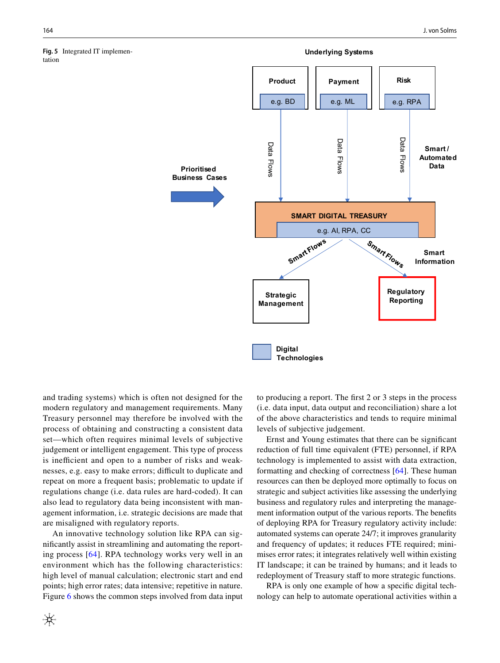<span id="page-12-0"></span>

and trading systems) which is often not designed for the modern regulatory and management requirements. Many Treasury personnel may therefore be involved with the process of obtaining and constructing a consistent data set—which often requires minimal levels of subjective judgement or intelligent engagement. This type of process is inefficient and open to a number of risks and weaknesses, e.g. easy to make errors; difficult to duplicate and repeat on more a frequent basis; problematic to update if regulations change (i.e. data rules are hard-coded). It can also lead to regulatory data being inconsistent with management information, i.e. strategic decisions are made that are misaligned with regulatory reports.

An innovative technology solution like RPA can signifcantly assist in streamlining and automating the reporting process [[64](#page-16-26)]. RPA technology works very well in an environment which has the following characteristics: high level of manual calculation; electronic start and end points; high error rates; data intensive; repetitive in nature. Figure [6](#page-13-1) shows the common steps involved from data input to producing a report. The frst 2 or 3 steps in the process (i.e. data input, data output and reconciliation) share a lot of the above characteristics and tends to require minimal levels of subjective judgement.

Ernst and Young estimates that there can be signifcant reduction of full time equivalent (FTE) personnel, if RPA technology is implemented to assist with data extraction, formatting and checking of correctness [[64](#page-16-26)]. These human resources can then be deployed more optimally to focus on strategic and subject activities like assessing the underlying business and regulatory rules and interpreting the management information output of the various reports. The benefts of deploying RPA for Treasury regulatory activity include: automated systems can operate 24/7; it improves granularity and frequency of updates; it reduces FTE required; minimises error rates; it integrates relatively well within existing IT landscape; it can be trained by humans; and it leads to redeployment of Treasury staff to more strategic functions.

RPA is only one example of how a specifc digital technology can help to automate operational activities within a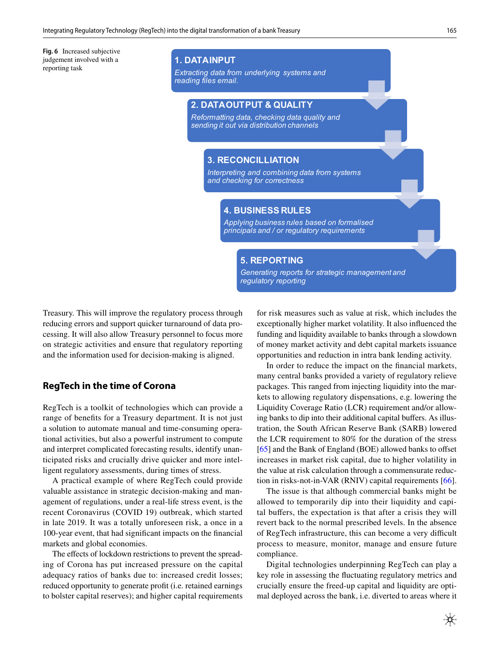<span id="page-13-1"></span>**Fig. 6** Increased subjective judgement involved with a reporting task

# **1. DATAINPUT**

*Extracting data from underlying systems and reading files email.*

# **2. DATAOUTPUT & QUALITY**

*Reformatting data, checking data quality and sending it out via distribution channels*

### **3. RECONCILLIATION**

*Interpreting and combining data from systems and checking for correctness* 

### **4. BUSINESS RULES**

*Applying business rules based on formalised principals and / or regulatory requirements* 

# **5. REPORTING**

*Generating reports for strategic management and regulatory reporting* 

Treasury. This will improve the regulatory process through reducing errors and support quicker turnaround of data processing. It will also allow Treasury personnel to focus more on strategic activities and ensure that regulatory reporting and the information used for decision-making is aligned.

# <span id="page-13-0"></span>**RegTech in the time of Corona**

RegTech is a toolkit of technologies which can provide a range of benefts for a Treasury department. It is not just a solution to automate manual and time-consuming operational activities, but also a powerful instrument to compute and interpret complicated forecasting results, identify unanticipated risks and crucially drive quicker and more intelligent regulatory assessments, during times of stress.

A practical example of where RegTech could provide valuable assistance in strategic decision-making and management of regulations, under a real-life stress event, is the recent Coronavirus (COVID 19) outbreak, which started in late 2019. It was a totally unforeseen risk, a once in a 100-year event, that had signifcant impacts on the fnancial markets and global economies.

The effects of lockdown restrictions to prevent the spreading of Corona has put increased pressure on the capital adequacy ratios of banks due to: increased credit losses; reduced opportunity to generate proft (i.e. retained earnings to bolster capital reserves); and higher capital requirements for risk measures such as value at risk, which includes the exceptionally higher market volatility. It also infuenced the funding and liquidity available to banks through a slowdown of money market activity and debt capital markets issuance opportunities and reduction in intra bank lending activity.

In order to reduce the impact on the fnancial markets, many central banks provided a variety of regulatory relieve packages. This ranged from injecting liquidity into the markets to allowing regulatory dispensations, e.g. lowering the Liquidity Coverage Ratio (LCR) requirement and/or allowing banks to dip into their additional capital buffers. As illustration, the South African Reserve Bank (SARB) lowered the LCR requirement to 80% for the duration of the stress [\[65](#page-16-27)] and the Bank of England (BOE) allowed banks to offset increases in market risk capital, due to higher volatility in the value at risk calculation through a commensurate reduction in risks-not-in-VAR (RNIV) capital requirements [\[66](#page-16-28)].

The issue is that although commercial banks might be allowed to temporarily dip into their liquidity and capital bufers, the expectation is that after a crisis they will revert back to the normal prescribed levels. In the absence of RegTech infrastructure, this can become a very difficult process to measure, monitor, manage and ensure future compliance.

Digital technologies underpinning RegTech can play a key role in assessing the fuctuating regulatory metrics and crucially ensure the freed-up capital and liquidity are optimal deployed across the bank, i.e. diverted to areas where it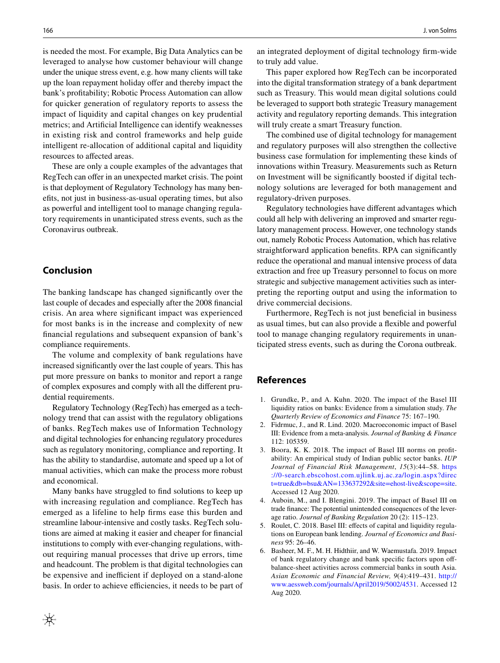is needed the most. For example, Big Data Analytics can be leveraged to analyse how customer behaviour will change under the unique stress event, e.g. how many clients will take up the loan repayment holiday offer and thereby impact the bank's proftability; Robotic Process Automation can allow for quicker generation of regulatory reports to assess the impact of liquidity and capital changes on key prudential metrics; and Artifcial Intelligence can identify weaknesses in existing risk and control frameworks and help guide intelligent re-allocation of additional capital and liquidity resources to afected areas.

These are only a couple examples of the advantages that RegTech can offer in an unexpected market crisis. The point is that deployment of Regulatory Technology has many benefts, not just in business-as-usual operating times, but also as powerful and intelligent tool to manage changing regulatory requirements in unanticipated stress events, such as the Coronavirus outbreak.

# **Conclusion**

The banking landscape has changed signifcantly over the last couple of decades and especially after the 2008 fnancial crisis. An area where signifcant impact was experienced for most banks is in the increase and complexity of new fnancial regulations and subsequent expansion of bank's compliance requirements.

The volume and complexity of bank regulations have increased signifcantly over the last couple of years. This has put more pressure on banks to monitor and report a range of complex exposures and comply with all the diferent prudential requirements.

Regulatory Technology (RegTech) has emerged as a technology trend that can assist with the regulatory obligations of banks. RegTech makes use of Information Technology and digital technologies for enhancing regulatory procedures such as regulatory monitoring, compliance and reporting. It has the ability to standardise, automate and speed up a lot of manual activities, which can make the process more robust and economical.

Many banks have struggled to fnd solutions to keep up with increasing regulation and compliance. RegTech has emerged as a lifeline to help frms ease this burden and streamline labour-intensive and costly tasks. RegTech solutions are aimed at making it easier and cheaper for fnancial institutions to comply with ever-changing regulations, without requiring manual processes that drive up errors, time and headcount. The problem is that digital technologies can be expensive and inefficient if deployed on a stand-alone basis. In order to achieve efficiencies, it needs to be part of an integrated deployment of digital technology frm-wide to truly add value.

This paper explored how RegTech can be incorporated into the digital transformation strategy of a bank department such as Treasury. This would mean digital solutions could be leveraged to support both strategic Treasury management activity and regulatory reporting demands. This integration will truly create a smart Treasury function.

The combined use of digital technology for management and regulatory purposes will also strengthen the collective business case formulation for implementing these kinds of innovations within Treasury. Measurements such as Return on Investment will be signifcantly boosted if digital technology solutions are leveraged for both management and regulatory-driven purposes.

Regulatory technologies have diferent advantages which could all help with delivering an improved and smarter regulatory management process. However, one technology stands out, namely Robotic Process Automation, which has relative straightforward application benefts. RPA can signifcantly reduce the operational and manual intensive process of data extraction and free up Treasury personnel to focus on more strategic and subjective management activities such as interpreting the reporting output and using the information to drive commercial decisions.

Furthermore, RegTech is not just beneficial in business as usual times, but can also provide a fexible and powerful tool to manage changing regulatory requirements in unanticipated stress events, such as during the Corona outbreak.

### **References**

- <span id="page-14-0"></span>1. Grundke, P., and A. Kuhn. 2020. The impact of the Basel III liquidity ratios on banks: Evidence from a simulation study. *The Quarterly Review of Economics and Finance* 75: 167–190.
- <span id="page-14-1"></span>2. Fidrmuc, J., and R. Lind. 2020. Macroeconomic impact of Basel III: Evidence from a meta-analysis. *Journal of Banking & Finance* 112: 105359.
- <span id="page-14-2"></span>3. Boora, K. K. 2018. The impact of Basel III norms on proftability: An empirical study of Indian public sector banks. *IUP Journal of Financial Risk Management*, *15*(3):44–58. [https](https://0-search.ebscohost.com.ujlink.uj.ac.za/login.aspx%3fdirect%3dtrue%26db%3dbsu%26AN%3d133637292%26site%3dehost-live%26scope%3dsite) [://0-search.ebscohost.com.ujlink.uj.ac.za/login.aspx?direc](https://0-search.ebscohost.com.ujlink.uj.ac.za/login.aspx%3fdirect%3dtrue%26db%3dbsu%26AN%3d133637292%26site%3dehost-live%26scope%3dsite) [t=true&db=bsu&AN=133637292&site=ehost-live&scope=site](https://0-search.ebscohost.com.ujlink.uj.ac.za/login.aspx%3fdirect%3dtrue%26db%3dbsu%26AN%3d133637292%26site%3dehost-live%26scope%3dsite). Accessed 12 Aug 2020.
- <span id="page-14-3"></span>4. Auboin, M., and I. Blengini. 2019. The impact of Basel III on trade fnance: The potential unintended consequences of the leverage ratio. *Journal of Banking Regulation* 20 (2): 115–123.
- <span id="page-14-4"></span>Roulet, C. 2018. Basel III: effects of capital and liquidity regulations on European bank lending. *Journal of Economics and Business* 95: 26–46.
- <span id="page-14-5"></span>6. Basheer, M. F., M. H. Hidthiir, and W. Waemustafa. 2019. Impact of bank regulatory change and bank specifc factors upon ofbalance-sheet activities across commercial banks in south Asia. *Asian Economic and Financial Review, 9*(4):419–431. [http://](http://www.aessweb.com/journals/April2019/5002/4531) [www.aessweb.com/journals/April2019/5002/4531](http://www.aessweb.com/journals/April2019/5002/4531). Accessed 12 Aug 2020.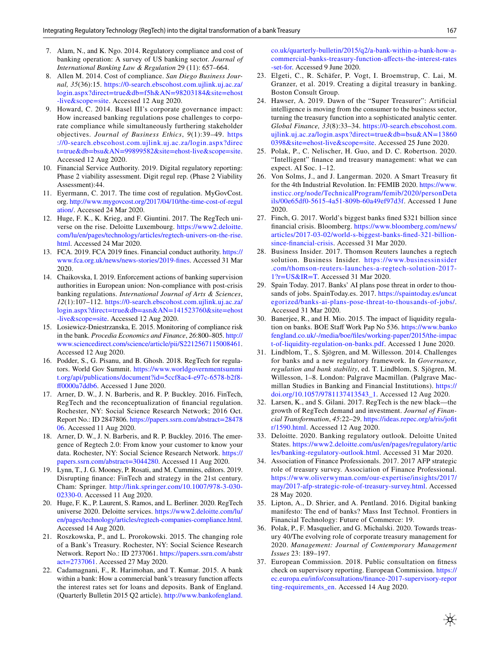- <span id="page-15-0"></span>7. Alam, N., and K. Ngo. 2014. Regulatory compliance and cost of banking operation: A survey of US banking sector. *Journal of International Banking Law & Regulation* 29 (11): 657–664.
- 8. Allen M. 2014. Cost of compliance. *San Diego Business Journal, 35*(36):15. [https://0-search.ebscohost.com.ujlink.uj.ac.za/](https://0-search.ebscohost.com.ujlink.uj.ac.za/login.aspx%3fdirect%3dtrue%26db%3df5h%26AN%3d98203184%26site%3dehost-live%26scope%3dsite) [login.aspx?direct=true&db=f5h&AN=98203184&site=ehost](https://0-search.ebscohost.com.ujlink.uj.ac.za/login.aspx%3fdirect%3dtrue%26db%3df5h%26AN%3d98203184%26site%3dehost-live%26scope%3dsite) [-live&scope=site.](https://0-search.ebscohost.com.ujlink.uj.ac.za/login.aspx%3fdirect%3dtrue%26db%3df5h%26AN%3d98203184%26site%3dehost-live%26scope%3dsite) Accessed 12 Aug 2020.
- <span id="page-15-1"></span>9. Howard, C. 2014. Basel III's corporate governance impact: How increased banking regulations pose challenges to corporate compliance while simultaneously furthering stakeholder objectives. *Journal of Business Ethics*, *9*(1):39–49. [https](https://0-search.ebscohost.com.ujlink.uj.ac.za/login.aspx%3fdirect%3dtrue%26db%3dbsu%26AN%3d99899582%26site%3dehost-live%26scope%3dsite) [://0-search.ebscohost.com.ujlink.uj.ac.za/login.aspx?direc](https://0-search.ebscohost.com.ujlink.uj.ac.za/login.aspx%3fdirect%3dtrue%26db%3dbsu%26AN%3d99899582%26site%3dehost-live%26scope%3dsite) [t=true&db=bsu&AN=99899582&site=ehost-live&scope=site.](https://0-search.ebscohost.com.ujlink.uj.ac.za/login.aspx%3fdirect%3dtrue%26db%3dbsu%26AN%3d99899582%26site%3dehost-live%26scope%3dsite) Accessed 12 Aug 2020.
- <span id="page-15-2"></span>10. Financial Service Authority. 2019. Digital regulatory reporting: Phase 2 viability assessment. Digit regul rep. (Phase 2 Viability Assessment):44.
- <span id="page-15-3"></span>11. Eyermann, C. 2017. The time cost of regulation. MyGovCost. org. [http://www.mygovcost.org/2017/04/10/the-time-cost-of-regul](http://www.mygovcost.org/2017/04/10/the-time-cost-of-regulation/) [ation/.](http://www.mygovcost.org/2017/04/10/the-time-cost-of-regulation/) Accessed 24 Mar 2020.
- <span id="page-15-4"></span>12. Huge, F. K., K. Krieg, and F. Giuntini. 2017. The RegTech universe on the rise. Deloitte Luxembourg. [https://www2.deloitte.](https://www2.deloitte.com/lu/en/pages/technology/articles/regtech-univers-on-the-rise.html) [com/lu/en/pages/technology/articles/regtech-univers-on-the-rise.](https://www2.deloitte.com/lu/en/pages/technology/articles/regtech-univers-on-the-rise.html) [html.](https://www2.deloitte.com/lu/en/pages/technology/articles/regtech-univers-on-the-rise.html) Accessed 24 Mar 2020.
- <span id="page-15-5"></span>13. FCA. 2019. FCA 2019 fnes. Financial conduct authority. [https://](https://www.fca.org.uk/news/news-stories/2019-fines) [www.fca.org.uk/news/news-stories/2019-fnes](https://www.fca.org.uk/news/news-stories/2019-fines). Accessed 31 Mar 2020.
- <span id="page-15-6"></span>14. Chaikovska, I. 2019. Enforcement actions of banking supervision authorities in European union: Non-compliance with post-crisis banking regulations. *International Journal of Arts & Sciences*, *12*(1):107–112. [https://0-search.ebscohost.com.ujlink.uj.ac.za/](https://0-search.ebscohost.com.ujlink.uj.ac.za/login.aspx%3fdirect%3dtrue%26db%3dasn%26AN%3d141523760%26site%3dehost-live%26scope%3dsite) [login.aspx?direct=true&db=asn&AN=141523760&site=ehost](https://0-search.ebscohost.com.ujlink.uj.ac.za/login.aspx%3fdirect%3dtrue%26db%3dasn%26AN%3d141523760%26site%3dehost-live%26scope%3dsite) [-live&scope=site.](https://0-search.ebscohost.com.ujlink.uj.ac.za/login.aspx%3fdirect%3dtrue%26db%3dasn%26AN%3d141523760%26site%3dehost-live%26scope%3dsite) Accessed 12 Aug 2020.
- <span id="page-15-7"></span>15. Losiewicz-Dniestrzanska, E. 2015. Monitoring of compliance risk in the bank. *Procedia Economics and Finance*, *26*:800–805. [http://](http://www.sciencedirect.com/science/article/pii/S2212567115008461) [www.sciencedirect.com/science/article/pii/S2212567115008461.](http://www.sciencedirect.com/science/article/pii/S2212567115008461) Accessed 12 Aug 2020.
- <span id="page-15-8"></span>16. Podder, S., G. Pisanu, and B. Ghosh. 2018. RegTech for regulators. World Gov Summit. [https://www.worldgovernmentsummi](https://www.worldgovernmentsummit.org/api/publications/document%3fid%3d5ccf8ac4-e97c-6578-b2f8-ff0000a7ddb6) [t.org/api/publications/document?id=5ccf8ac4-e97c-6578-b2f8](https://www.worldgovernmentsummit.org/api/publications/document%3fid%3d5ccf8ac4-e97c-6578-b2f8-ff0000a7ddb6) [f0000a7ddb6.](https://www.worldgovernmentsummit.org/api/publications/document%3fid%3d5ccf8ac4-e97c-6578-b2f8-ff0000a7ddb6) Accessed 1 June 2020.
- <span id="page-15-9"></span>17. Arner, D. W., J. N. Barberis, and R. P. Buckley. 2016. FinTech, RegTech and the reconceptualization of fnancial regulation. Rochester, NY: Social Science Research Network; 2016 Oct. Report No.: ID 2847806. [https://papers.ssrn.com/abstract=28478](https://papers.ssrn.com/abstract=2847806) [06.](https://papers.ssrn.com/abstract=2847806) Accessed 11 Aug 2020.
- <span id="page-15-10"></span>18. Arner, D. W., J. N. Barberis, and R. P. Buckley. 2016. The emergence of Regtech 2.0: From know your customer to know your data. Rochester, NY: Social Science Research Network. [https://](https://papers.ssrn.com/abstract=3044280) [papers.ssrn.com/abstract=3044280.](https://papers.ssrn.com/abstract=3044280) Accessed 11 Aug 2020.
- <span id="page-15-11"></span>19. Lynn, T., J. G. Mooney, P. Rosati, and M. Cummins, editors. 2019. Disrupting fnance: FinTech and strategy in the 21st century. Cham: Springer. [http://link.springer.com/10.1007/978-3-030-](http://link.springer.com/10.1007/978-3-030-02330-0) [02330-0.](http://link.springer.com/10.1007/978-3-030-02330-0) Accessed 11 Aug 2020.
- <span id="page-15-12"></span>20. Huge, F. K., P. Laurent, S. Ramos, and L. Berliner. 2020. RegTech universe 2020. Deloitte services. [https://www2.deloitte.com/lu/](https://www2.deloitte.com/lu/en/pages/technology/articles/regtech-companies-compliance.html) [en/pages/technology/articles/regtech-companies-compliance.html.](https://www2.deloitte.com/lu/en/pages/technology/articles/regtech-companies-compliance.html) Accessed 14 Aug 2020.
- <span id="page-15-13"></span>21. Roszkowska, P., and L. Prorokowski. 2015. The changing role of a Bank's Treasury. Rochester, NY: Social Science Research Network. Report No.: ID 2737061. [https://papers.ssrn.com/abstr](https://papers.ssrn.com/abstract=2737061) [act=2737061.](https://papers.ssrn.com/abstract=2737061) Accessed 27 May 2020.
- <span id="page-15-14"></span>22. Cadamagnani, F., R. Harimohan, and T. Kumar. 2015. A bank within a bank: How a commercial bank's treasury function afects the interest rates set for loans and deposits. Bank of England. (Quarterly Bulletin 2015 Q2 article). [http://www.bankofengland.](http://www.bankofengland.co.uk/quarterly-bulletin/2015/q2/a-bank-within-a-bank-how-a-commercial-banks-treasury-function-affects-the-interest-rates-set-for)

[co.uk/quarterly-bulletin/2015/q2/a-bank-within-a-bank-how-a](http://www.bankofengland.co.uk/quarterly-bulletin/2015/q2/a-bank-within-a-bank-how-a-commercial-banks-treasury-function-affects-the-interest-rates-set-for)[commercial-banks-treasury-function-afects-the-interest-rates](http://www.bankofengland.co.uk/quarterly-bulletin/2015/q2/a-bank-within-a-bank-how-a-commercial-banks-treasury-function-affects-the-interest-rates-set-for) [-set-for.](http://www.bankofengland.co.uk/quarterly-bulletin/2015/q2/a-bank-within-a-bank-how-a-commercial-banks-treasury-function-affects-the-interest-rates-set-for) Accessed 9 June 2020.

- <span id="page-15-15"></span>23. Elgeti, C., R. Schäfer, P. Vogt, I. Broemstrup, C. Lai, M. Granzer, et al. 2019. Creating a digital treasury in banking. Boston Consult Group.
- <span id="page-15-16"></span>24. Hawser, A. 2019. Dawn of the "Super Treasurer": Artifcial intelligence is moving from the consumer to the business sector, turning the treasury function into a sophisticated analytic center. *Global Finance, 33*(8):33–34. [https://0-search.ebscohost.com.](https://0-search.ebscohost.com.ujlink.uj.ac.za/login.aspx%3fdirect%3dtrue%26db%3dbsu%26AN%3d138600398%26site%3dehost-live%26scope%3dsite) [ujlink.uj.ac.za/login.aspx?direct=true&db=bsu&AN=13860](https://0-search.ebscohost.com.ujlink.uj.ac.za/login.aspx%3fdirect%3dtrue%26db%3dbsu%26AN%3d138600398%26site%3dehost-live%26scope%3dsite) [0398&site=ehost-live&scope=site](https://0-search.ebscohost.com.ujlink.uj.ac.za/login.aspx%3fdirect%3dtrue%26db%3dbsu%26AN%3d138600398%26site%3dehost-live%26scope%3dsite). Accessed 25 June 2020.
- <span id="page-15-17"></span>25. Polak, P., C. Nelischer, H. Guo, and D. C. Robertson. 2020. "Intelligent" fnance and treasury management: what we can expect. AI Soc. 1–12.
- <span id="page-15-18"></span>26. Von Solms, J., and J. Langerman. 2020. A Smart Treasury ft for the 4th Industrial Revolution. In: FEMIB 2020. [https://www.](https://www.insticc.org/node/TechnicalProgram/femib/2020/personDetails/00e65df0-5615-4a51-809b-60a49ef97d3f) [insticc.org/node/TechnicalProgram/femib/2020/personDeta](https://www.insticc.org/node/TechnicalProgram/femib/2020/personDetails/00e65df0-5615-4a51-809b-60a49ef97d3f) [ils/00e65df0-5615-4a51-809b-60a49ef97d3f](https://www.insticc.org/node/TechnicalProgram/femib/2020/personDetails/00e65df0-5615-4a51-809b-60a49ef97d3f). Accessed 1 June 2020.
- <span id="page-15-19"></span>27. Finch, G. 2017. World's biggest banks fned \$321 billion since fnancial crisis. Bloomberg. [https://www.bloomberg.com/news/](https://www.bloomberg.com/news/articles/2017-03-02/world-s-biggest-banks-fined-321-billion-since-financial-crisis) [articles/2017-03-02/world-s-biggest-banks-fned-321-billion](https://www.bloomberg.com/news/articles/2017-03-02/world-s-biggest-banks-fined-321-billion-since-financial-crisis)[since-fnancial-crisis](https://www.bloomberg.com/news/articles/2017-03-02/world-s-biggest-banks-fined-321-billion-since-financial-crisis). Accessed 31 Mar 2020.
- <span id="page-15-20"></span>28. Business Insider. 2017. Thomson Reuters launches a regtech solution. Business Insider. [https://www.businessinsider](https://www.businessinsider.com/thomson-reuters-launches-a-regtech-solution-2017-1%3fr%3dUS%26IR%3dT) [.com/thomson-reuters-launches-a-regtech-solution-2017-](https://www.businessinsider.com/thomson-reuters-launches-a-regtech-solution-2017-1%3fr%3dUS%26IR%3dT) [1?r=US&IR=T](https://www.businessinsider.com/thomson-reuters-launches-a-regtech-solution-2017-1%3fr%3dUS%26IR%3dT). Accessed 31 Mar 2020.
- <span id="page-15-21"></span>29. Spain Today. 2017. Banks' AI plans pose threat in order to thousands of jobs. SpainToday.es. 2017. [https://spaintoday.es/uncat](https://spaintoday.es/uncategorized/banks-ai-plans-pose-threat-to-thousands-of-jobs/) [egorized/banks-ai-plans-pose-threat-to-thousands-of-jobs/](https://spaintoday.es/uncategorized/banks-ai-plans-pose-threat-to-thousands-of-jobs/). Accessed 31 Mar 2020.
- <span id="page-15-22"></span>30. Banerjee, R., and H. Mio. 2015. The impact of liquidity regulation on banks. BOE Staff Work Pap No 536. [https://www.banko](https://www.bankofengland.co.uk/-/media/boe/files/working-paper/2015/the-impact-of-liquidity-regulation-on-banks.pdf) [fengland.co.uk/-/media/boe/fles/working-paper/2015/the-impac](https://www.bankofengland.co.uk/-/media/boe/files/working-paper/2015/the-impact-of-liquidity-regulation-on-banks.pdf) [t-of-liquidity-regulation-on-banks.pdf.](https://www.bankofengland.co.uk/-/media/boe/files/working-paper/2015/the-impact-of-liquidity-regulation-on-banks.pdf) Accessed 1 June 2020.
- <span id="page-15-23"></span>31. Lindblom, T., S. Sjögren, and M. Willesson. 2014. Challenges for banks and a new regulatory framework. In *Governance, regulation and bank stability*, ed. T. Lindblom, S. Sjögren, M. Willesson, 1–8. London: Palgrave Macmillan. (Palgrave Macmillan Studies in Banking and Financial Institutions). [https://](https://doi.org/10.1057/9781137413543_1) [doi.org/10.1057/9781137413543\\_1](https://doi.org/10.1057/9781137413543_1). Accessed 12 Aug 2020.
- <span id="page-15-24"></span>32. Larsen, K., and S. Gilani. 2017. RegTech is the new black—the growth of RegTech demand and investment. *Journal of Financial Transformation*, *45*:22–29. [https://ideas.repec.org/a/ris/joft](https://ideas.repec.org/a/ris/jofitr/1590.html) [r/1590.html.](https://ideas.repec.org/a/ris/jofitr/1590.html) Accessed 12 Aug 2020.
- <span id="page-15-25"></span>33. Deloitte. 2020. Banking regulatory outlook. Deloitte United States. [https://www2.deloitte.com/us/en/pages/regulatory/artic](https://www2.deloitte.com/us/en/pages/regulatory/articles/banking-regulatory-outlook.html) [les/banking-regulatory-outlook.html](https://www2.deloitte.com/us/en/pages/regulatory/articles/banking-regulatory-outlook.html). Accessed 31 Mar 2020.
- <span id="page-15-26"></span>34. Association of Finance Professionals. 2017. 2017 AFP strategic role of treasury survey. Association of Finance Professional. [https://www.oliverwyman.com/our-expertise/insights/2017/](https://www.oliverwyman.com/our-expertise/insights/2017/may/2017-afp-strategic-role-of-treasury-survey.html) [may/2017-afp-strategic-role-of-treasury-survey.html](https://www.oliverwyman.com/our-expertise/insights/2017/may/2017-afp-strategic-role-of-treasury-survey.html). Accessed 28 May 2020.
- <span id="page-15-27"></span>35. Lipton, A., D. Shrier, and A. Pentland. 2016. Digital banking manifesto: The end of banks? Mass Inst Technol. Frontiers in Financial Technology: Future of Commerce: 19.
- <span id="page-15-28"></span>36. Polak, P., F. Masquelier, and G. Michalski. 2020. Towards treasury 40/The evolving role of corporate treasury management for 2020. *Management: Journal of Contemporary Management Issues* 23: 189–197.
- <span id="page-15-29"></span>37. European Commission. 2018. Public consultation on ftness check on supervisory reporting. European Commission. [https://](https://ec.europa.eu/info/consultations/finance-2017-supervisory-reporting-requirements_en) [ec.europa.eu/info/consultations/fnance-2017-supervisory-repor](https://ec.europa.eu/info/consultations/finance-2017-supervisory-reporting-requirements_en) [ting-requirements\\_en.](https://ec.europa.eu/info/consultations/finance-2017-supervisory-reporting-requirements_en) Accessed 14 Aug 2020.

垁